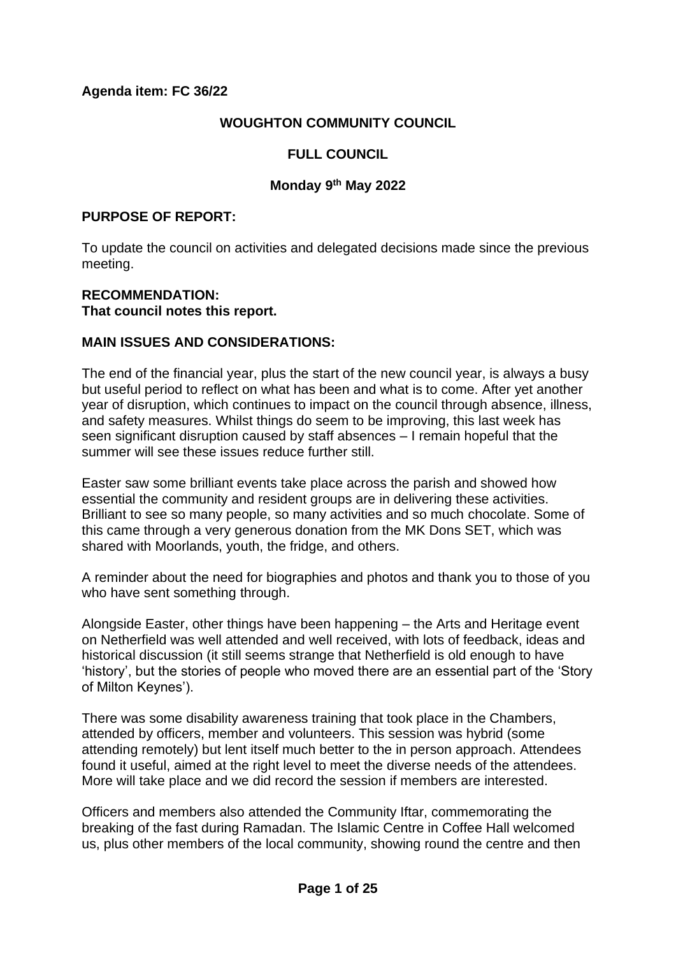## **WOUGHTON COMMUNITY COUNCIL**

# **FULL COUNCIL**

#### **Monday 9th May 2022**

#### **PURPOSE OF REPORT:**

To update the council on activities and delegated decisions made since the previous meeting.

#### **RECOMMENDATION: That council notes this report.**

#### **MAIN ISSUES AND CONSIDERATIONS:**

The end of the financial year, plus the start of the new council year, is always a busy but useful period to reflect on what has been and what is to come. After yet another year of disruption, which continues to impact on the council through absence, illness, and safety measures. Whilst things do seem to be improving, this last week has seen significant disruption caused by staff absences – I remain hopeful that the summer will see these issues reduce further still.

Easter saw some brilliant events take place across the parish and showed how essential the community and resident groups are in delivering these activities. Brilliant to see so many people, so many activities and so much chocolate. Some of this came through a very generous donation from the MK Dons SET, which was shared with Moorlands, youth, the fridge, and others.

A reminder about the need for biographies and photos and thank you to those of you who have sent something through.

Alongside Easter, other things have been happening – the Arts and Heritage event on Netherfield was well attended and well received, with lots of feedback, ideas and historical discussion (it still seems strange that Netherfield is old enough to have 'history', but the stories of people who moved there are an essential part of the 'Story of Milton Keynes').

There was some disability awareness training that took place in the Chambers, attended by officers, member and volunteers. This session was hybrid (some attending remotely) but lent itself much better to the in person approach. Attendees found it useful, aimed at the right level to meet the diverse needs of the attendees. More will take place and we did record the session if members are interested.

Officers and members also attended the Community Iftar, commemorating the breaking of the fast during Ramadan. The Islamic Centre in Coffee Hall welcomed us, plus other members of the local community, showing round the centre and then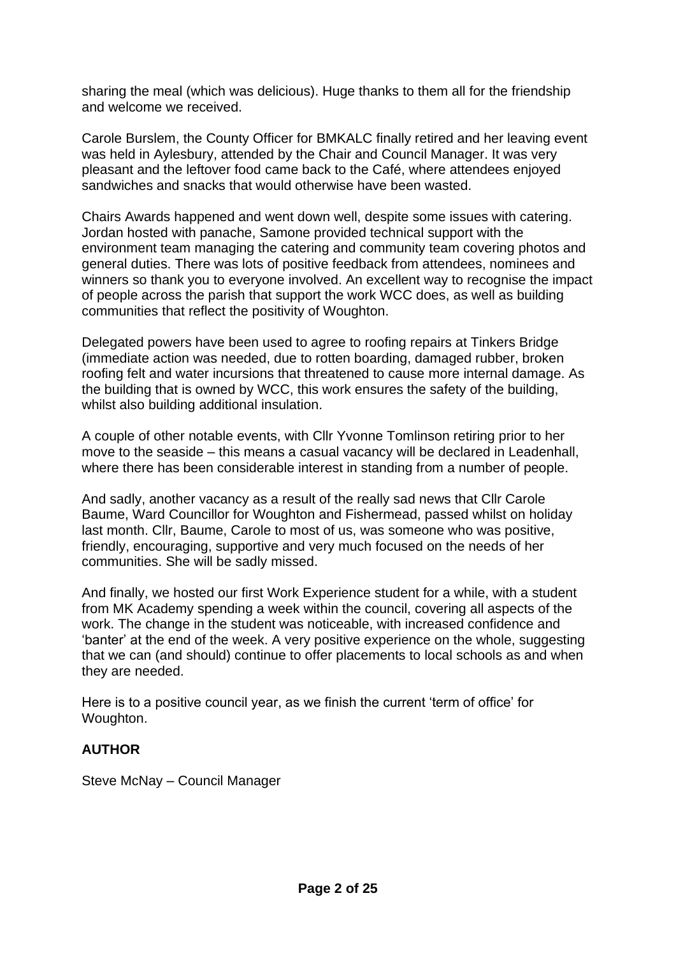sharing the meal (which was delicious). Huge thanks to them all for the friendship and welcome we received.

Carole Burslem, the County Officer for BMKALC finally retired and her leaving event was held in Aylesbury, attended by the Chair and Council Manager. It was very pleasant and the leftover food came back to the Café, where attendees enjoyed sandwiches and snacks that would otherwise have been wasted.

Chairs Awards happened and went down well, despite some issues with catering. Jordan hosted with panache, Samone provided technical support with the environment team managing the catering and community team covering photos and general duties. There was lots of positive feedback from attendees, nominees and winners so thank you to everyone involved. An excellent way to recognise the impact of people across the parish that support the work WCC does, as well as building communities that reflect the positivity of Woughton.

Delegated powers have been used to agree to roofing repairs at Tinkers Bridge (immediate action was needed, due to rotten boarding, damaged rubber, broken roofing felt and water incursions that threatened to cause more internal damage. As the building that is owned by WCC, this work ensures the safety of the building, whilst also building additional insulation.

A couple of other notable events, with Cllr Yvonne Tomlinson retiring prior to her move to the seaside – this means a casual vacancy will be declared in Leadenhall, where there has been considerable interest in standing from a number of people.

And sadly, another vacancy as a result of the really sad news that Cllr Carole Baume, Ward Councillor for Woughton and Fishermead, passed whilst on holiday last month. Cllr, Baume, Carole to most of us, was someone who was positive, friendly, encouraging, supportive and very much focused on the needs of her communities. She will be sadly missed.

And finally, we hosted our first Work Experience student for a while, with a student from MK Academy spending a week within the council, covering all aspects of the work. The change in the student was noticeable, with increased confidence and 'banter' at the end of the week. A very positive experience on the whole, suggesting that we can (and should) continue to offer placements to local schools as and when they are needed.

Here is to a positive council year, as we finish the current 'term of office' for Woughton.

### **AUTHOR**

Steve McNay – Council Manager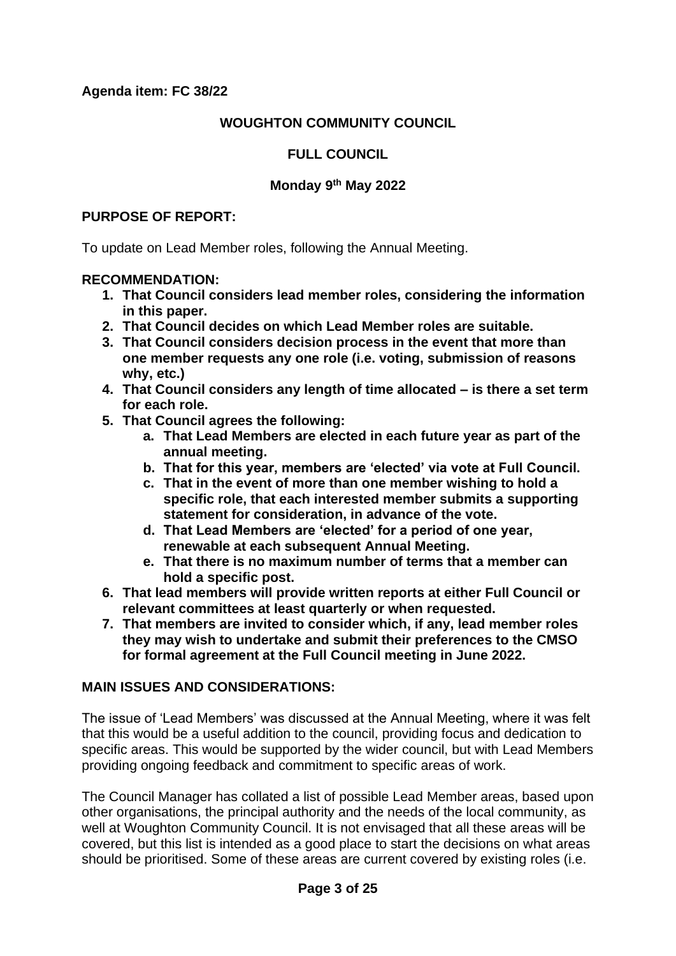## **WOUGHTON COMMUNITY COUNCIL**

## **FULL COUNCIL**

### **Monday 9th May 2022**

#### **PURPOSE OF REPORT:**

To update on Lead Member roles, following the Annual Meeting.

#### **RECOMMENDATION:**

- **1. That Council considers lead member roles, considering the information in this paper.**
- **2. That Council decides on which Lead Member roles are suitable.**
- **3. That Council considers decision process in the event that more than one member requests any one role (i.e. voting, submission of reasons why, etc.)**
- **4. That Council considers any length of time allocated – is there a set term for each role.**
- **5. That Council agrees the following:**
	- **a. That Lead Members are elected in each future year as part of the annual meeting.**
	- **b. That for this year, members are 'elected' via vote at Full Council.**
	- **c. That in the event of more than one member wishing to hold a specific role, that each interested member submits a supporting statement for consideration, in advance of the vote.**
	- **d. That Lead Members are 'elected' for a period of one year, renewable at each subsequent Annual Meeting.**
	- **e. That there is no maximum number of terms that a member can hold a specific post.**
- **6. That lead members will provide written reports at either Full Council or relevant committees at least quarterly or when requested.**
- **7. That members are invited to consider which, if any, lead member roles they may wish to undertake and submit their preferences to the CMSO for formal agreement at the Full Council meeting in June 2022.**

### **MAIN ISSUES AND CONSIDERATIONS:**

The issue of 'Lead Members' was discussed at the Annual Meeting, where it was felt that this would be a useful addition to the council, providing focus and dedication to specific areas. This would be supported by the wider council, but with Lead Members providing ongoing feedback and commitment to specific areas of work.

The Council Manager has collated a list of possible Lead Member areas, based upon other organisations, the principal authority and the needs of the local community, as well at Woughton Community Council. It is not envisaged that all these areas will be covered, but this list is intended as a good place to start the decisions on what areas should be prioritised. Some of these areas are current covered by existing roles (i.e.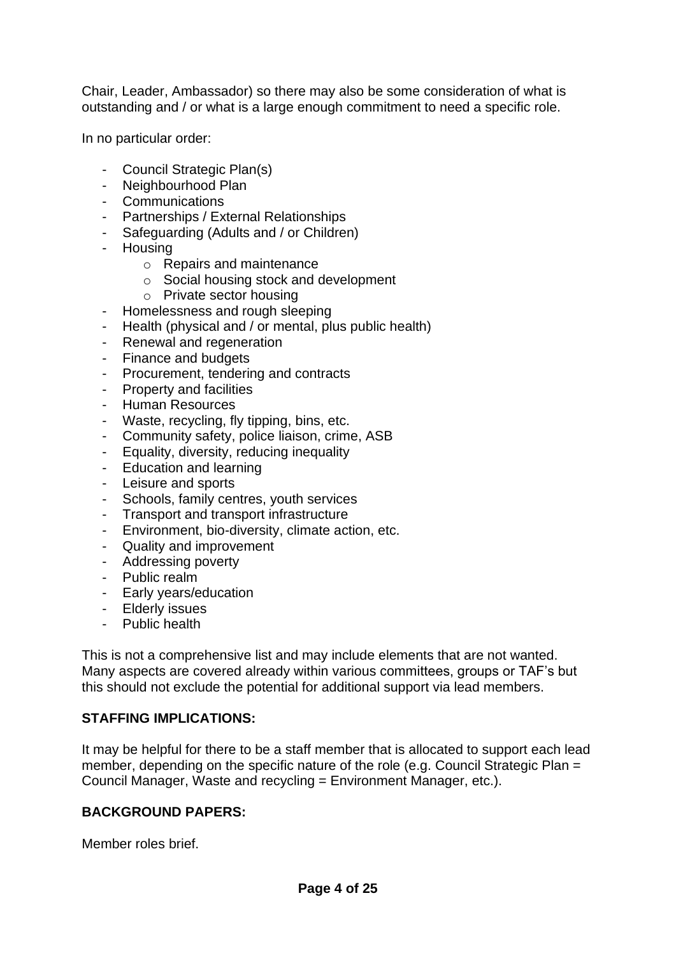Chair, Leader, Ambassador) so there may also be some consideration of what is outstanding and / or what is a large enough commitment to need a specific role.

In no particular order:

- Council Strategic Plan(s)
- Neighbourhood Plan
- Communications
- Partnerships / External Relationships
- Safeguarding (Adults and / or Children)
- Housing
	- o Repairs and maintenance
	- o Social housing stock and development
	- o Private sector housing
- Homelessness and rough sleeping
- Health (physical and / or mental, plus public health)
- Renewal and regeneration
- Finance and budgets
- Procurement, tendering and contracts
- Property and facilities
- Human Resources
- Waste, recycling, fly tipping, bins, etc.
- Community safety, police liaison, crime, ASB
- Equality, diversity, reducing inequality
- Education and learning
- Leisure and sports
- Schools, family centres, youth services
- Transport and transport infrastructure
- Environment, bio-diversity, climate action, etc.
- Quality and improvement
- Addressing poverty
- Public realm
- Early years/education
- Elderly issues
- Public health

This is not a comprehensive list and may include elements that are not wanted. Many aspects are covered already within various committees, groups or TAF's but this should not exclude the potential for additional support via lead members.

#### **STAFFING IMPLICATIONS:**

It may be helpful for there to be a staff member that is allocated to support each lead member, depending on the specific nature of the role (e.g. Council Strategic Plan = Council Manager, Waste and recycling = Environment Manager, etc.).

#### **BACKGROUND PAPERS:**

Member roles brief.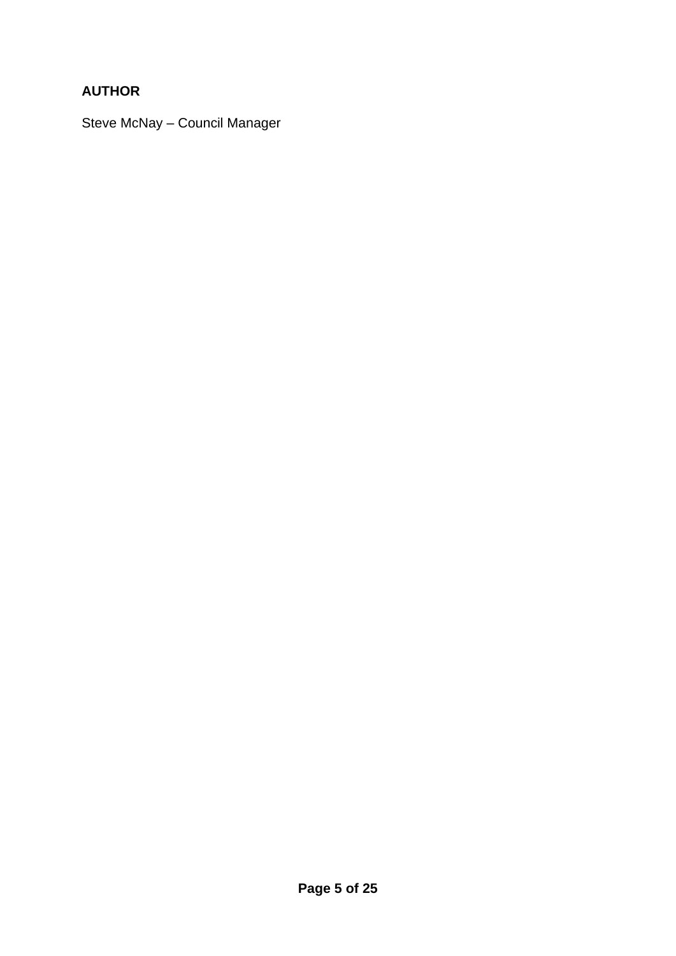# **AUTHOR**

Steve McNay – Council Manager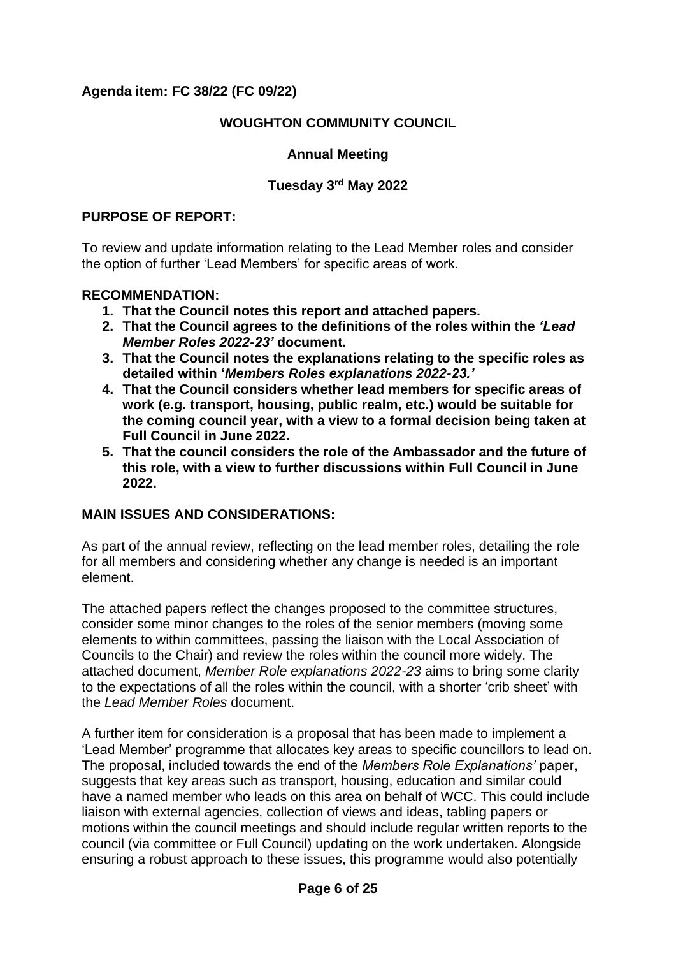### **Agenda item: FC 38/22 (FC 09/22)**

#### **WOUGHTON COMMUNITY COUNCIL**

### **Annual Meeting**

#### **Tuesday 3rd May 2022**

#### **PURPOSE OF REPORT:**

To review and update information relating to the Lead Member roles and consider the option of further 'Lead Members' for specific areas of work.

#### **RECOMMENDATION:**

- **1. That the Council notes this report and attached papers.**
- **2. That the Council agrees to the definitions of the roles within the** *'Lead Member Roles 2022-23'* **document.**
- **3. That the Council notes the explanations relating to the specific roles as detailed within '***Members Roles explanations 2022-23.'*
- **4. That the Council considers whether lead members for specific areas of work (e.g. transport, housing, public realm, etc.) would be suitable for the coming council year, with a view to a formal decision being taken at Full Council in June 2022.**
- **5. That the council considers the role of the Ambassador and the future of this role, with a view to further discussions within Full Council in June 2022.**

#### **MAIN ISSUES AND CONSIDERATIONS:**

As part of the annual review, reflecting on the lead member roles, detailing the role for all members and considering whether any change is needed is an important element.

The attached papers reflect the changes proposed to the committee structures, consider some minor changes to the roles of the senior members (moving some elements to within committees, passing the liaison with the Local Association of Councils to the Chair) and review the roles within the council more widely. The attached document, *Member Role explanations 2022-23* aims to bring some clarity to the expectations of all the roles within the council, with a shorter 'crib sheet' with the *Lead Member Roles* document.

A further item for consideration is a proposal that has been made to implement a 'Lead Member' programme that allocates key areas to specific councillors to lead on. The proposal, included towards the end of the *Members Role Explanations'* paper, suggests that key areas such as transport, housing, education and similar could have a named member who leads on this area on behalf of WCC. This could include liaison with external agencies, collection of views and ideas, tabling papers or motions within the council meetings and should include regular written reports to the council (via committee or Full Council) updating on the work undertaken. Alongside ensuring a robust approach to these issues, this programme would also potentially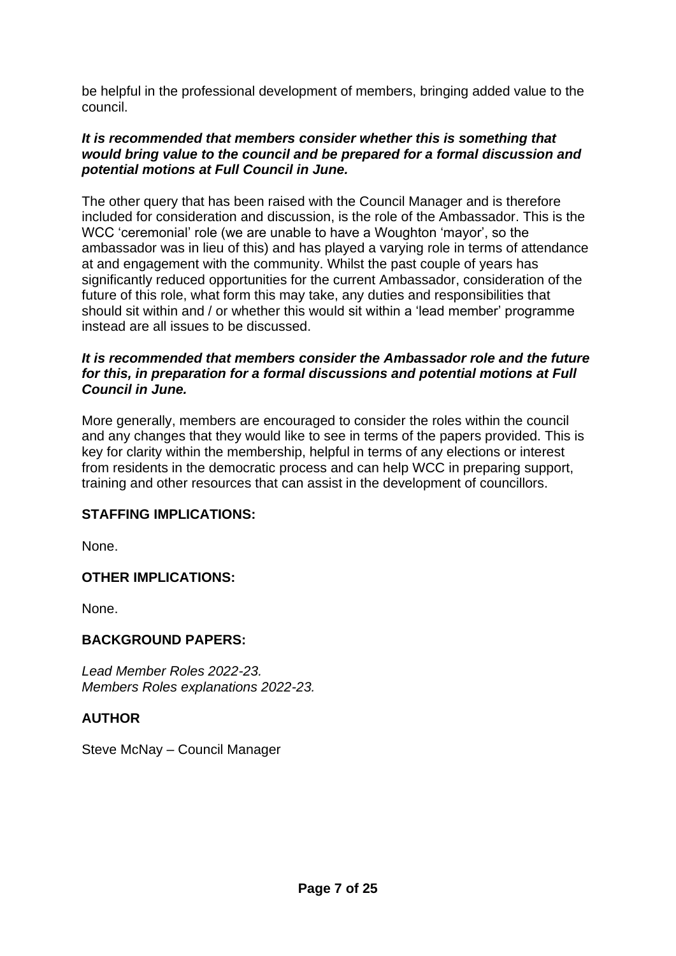be helpful in the professional development of members, bringing added value to the council.

#### *It is recommended that members consider whether this is something that would bring value to the council and be prepared for a formal discussion and potential motions at Full Council in June.*

The other query that has been raised with the Council Manager and is therefore included for consideration and discussion, is the role of the Ambassador. This is the WCC 'ceremonial' role (we are unable to have a Woughton 'mayor', so the ambassador was in lieu of this) and has played a varying role in terms of attendance at and engagement with the community. Whilst the past couple of years has significantly reduced opportunities for the current Ambassador, consideration of the future of this role, what form this may take, any duties and responsibilities that should sit within and / or whether this would sit within a 'lead member' programme instead are all issues to be discussed.

#### *It is recommended that members consider the Ambassador role and the future for this, in preparation for a formal discussions and potential motions at Full Council in June.*

More generally, members are encouraged to consider the roles within the council and any changes that they would like to see in terms of the papers provided. This is key for clarity within the membership, helpful in terms of any elections or interest from residents in the democratic process and can help WCC in preparing support, training and other resources that can assist in the development of councillors.

### **STAFFING IMPLICATIONS:**

None.

### **OTHER IMPLICATIONS:**

None.

### **BACKGROUND PAPERS:**

*Lead Member Roles 2022-23. Members Roles explanations 2022-23.* 

### **AUTHOR**

Steve McNay – Council Manager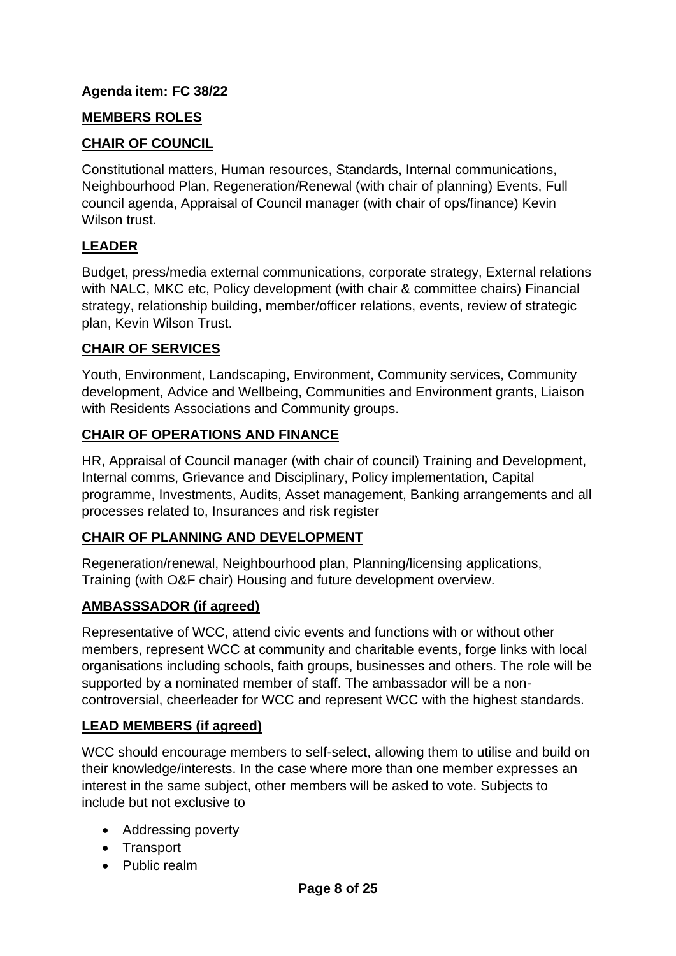## **Agenda item: FC 38/22**

## **MEMBERS ROLES**

## **CHAIR OF COUNCIL**

Constitutional matters, Human resources, Standards, Internal communications, Neighbourhood Plan, Regeneration/Renewal (with chair of planning) Events, Full council agenda, Appraisal of Council manager (with chair of ops/finance) Kevin Wilson trust.

# **LEADER**

Budget, press/media external communications, corporate strategy, External relations with NALC, MKC etc, Policy development (with chair & committee chairs) Financial strategy, relationship building, member/officer relations, events, review of strategic plan, Kevin Wilson Trust.

## **CHAIR OF SERVICES**

Youth, Environment, Landscaping, Environment, Community services, Community development, Advice and Wellbeing, Communities and Environment grants, Liaison with Residents Associations and Community groups.

### **CHAIR OF OPERATIONS AND FINANCE**

HR, Appraisal of Council manager (with chair of council) Training and Development, Internal comms, Grievance and Disciplinary, Policy implementation, Capital programme, Investments, Audits, Asset management, Banking arrangements and all processes related to, Insurances and risk register

### **CHAIR OF PLANNING AND DEVELOPMENT**

Regeneration/renewal, Neighbourhood plan, Planning/licensing applications, Training (with O&F chair) Housing and future development overview.

### **AMBASSSADOR (if agreed)**

Representative of WCC, attend civic events and functions with or without other members, represent WCC at community and charitable events, forge links with local organisations including schools, faith groups, businesses and others. The role will be supported by a nominated member of staff. The ambassador will be a noncontroversial, cheerleader for WCC and represent WCC with the highest standards.

### **LEAD MEMBERS (if agreed)**

WCC should encourage members to self-select, allowing them to utilise and build on their knowledge/interests. In the case where more than one member expresses an interest in the same subject, other members will be asked to vote. Subjects to include but not exclusive to

- Addressing poverty
- Transport
- Public realm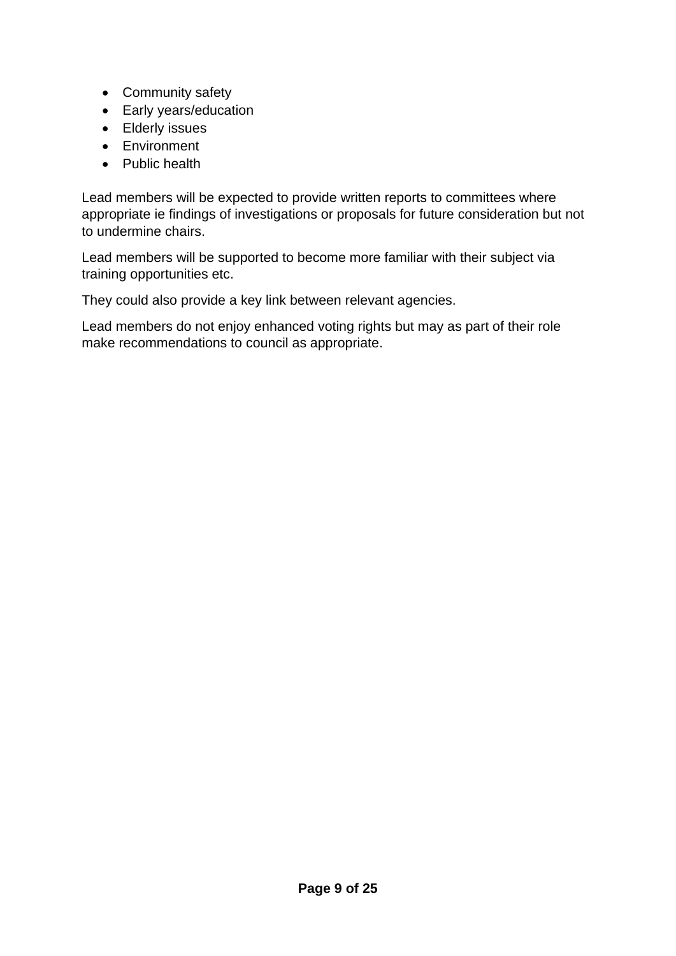- Community safety
- Early years/education
- Elderly issues
- Environment
- Public health

Lead members will be expected to provide written reports to committees where appropriate ie findings of investigations or proposals for future consideration but not to undermine chairs.

Lead members will be supported to become more familiar with their subject via training opportunities etc.

They could also provide a key link between relevant agencies.

Lead members do not enjoy enhanced voting rights but may as part of their role make recommendations to council as appropriate.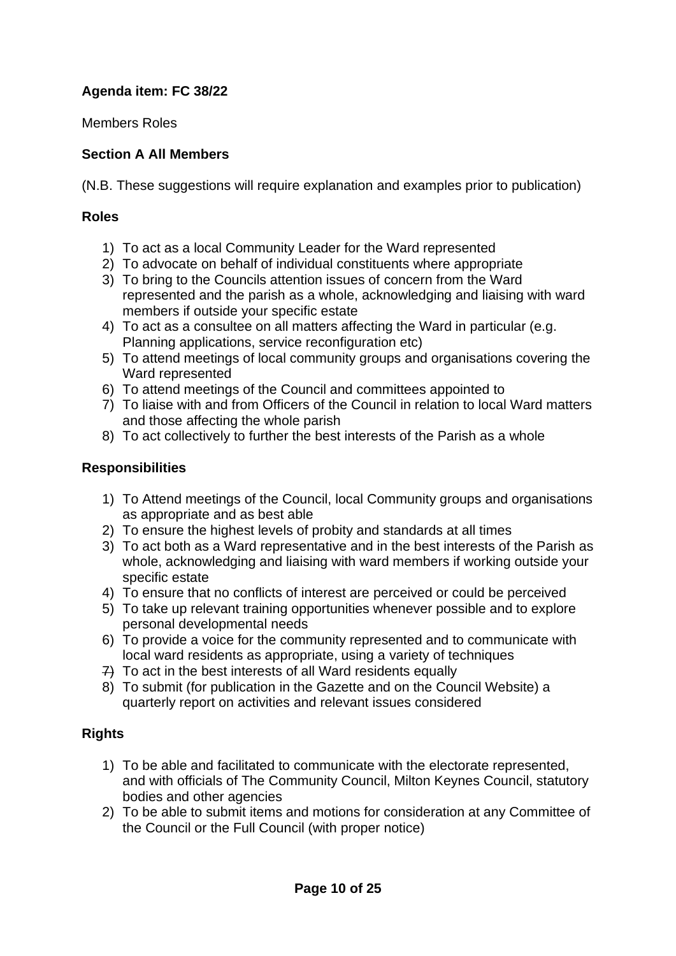# **Agenda item: FC 38/22**

Members Roles

## **Section A All Members**

(N.B. These suggestions will require explanation and examples prior to publication)

#### **Roles**

- 1) To act as a local Community Leader for the Ward represented
- 2) To advocate on behalf of individual constituents where appropriate
- 3) To bring to the Councils attention issues of concern from the Ward represented and the parish as a whole, acknowledging and liaising with ward members if outside your specific estate
- 4) To act as a consultee on all matters affecting the Ward in particular (e.g. Planning applications, service reconfiguration etc)
- 5) To attend meetings of local community groups and organisations covering the Ward represented
- 6) To attend meetings of the Council and committees appointed to
- 7) To liaise with and from Officers of the Council in relation to local Ward matters and those affecting the whole parish
- 8) To act collectively to further the best interests of the Parish as a whole

### **Responsibilities**

- 1) To Attend meetings of the Council, local Community groups and organisations as appropriate and as best able
- 2) To ensure the highest levels of probity and standards at all times
- 3) To act both as a Ward representative and in the best interests of the Parish as whole, acknowledging and liaising with ward members if working outside your specific estate
- 4) To ensure that no conflicts of interest are perceived or could be perceived
- 5) To take up relevant training opportunities whenever possible and to explore personal developmental needs
- 6) To provide a voice for the community represented and to communicate with local ward residents as appropriate, using a variety of techniques
- 7) To act in the best interests of all Ward residents equally
- 8) To submit (for publication in the Gazette and on the Council Website) a quarterly report on activities and relevant issues considered

### **Rights**

- 1) To be able and facilitated to communicate with the electorate represented, and with officials of The Community Council, Milton Keynes Council, statutory bodies and other agencies
- 2) To be able to submit items and motions for consideration at any Committee of the Council or the Full Council (with proper notice)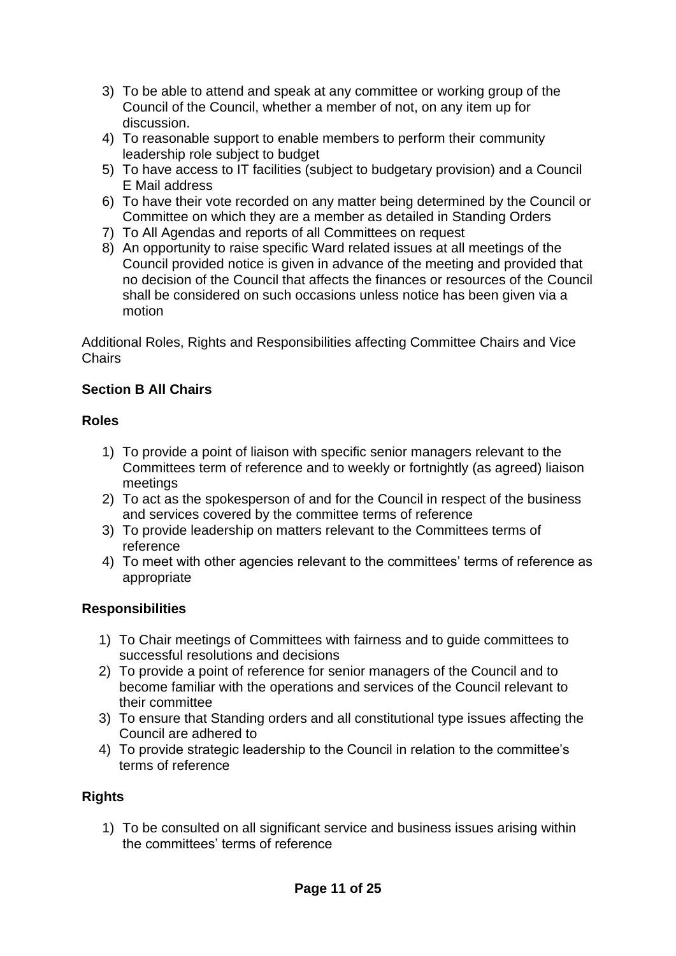- 3) To be able to attend and speak at any committee or working group of the Council of the Council, whether a member of not, on any item up for discussion.
- 4) To reasonable support to enable members to perform their community leadership role subject to budget
- 5) To have access to IT facilities (subject to budgetary provision) and a Council E Mail address
- 6) To have their vote recorded on any matter being determined by the Council or Committee on which they are a member as detailed in Standing Orders
- 7) To All Agendas and reports of all Committees on request
- 8) An opportunity to raise specific Ward related issues at all meetings of the Council provided notice is given in advance of the meeting and provided that no decision of the Council that affects the finances or resources of the Council shall be considered on such occasions unless notice has been given via a motion

Additional Roles, Rights and Responsibilities affecting Committee Chairs and Vice Chairs

# **Section B All Chairs**

### **Roles**

- 1) To provide a point of liaison with specific senior managers relevant to the Committees term of reference and to weekly or fortnightly (as agreed) liaison meetings
- 2) To act as the spokesperson of and for the Council in respect of the business and services covered by the committee terms of reference
- 3) To provide leadership on matters relevant to the Committees terms of reference
- 4) To meet with other agencies relevant to the committees' terms of reference as appropriate

### **Responsibilities**

- 1) To Chair meetings of Committees with fairness and to guide committees to successful resolutions and decisions
- 2) To provide a point of reference for senior managers of the Council and to become familiar with the operations and services of the Council relevant to their committee
- 3) To ensure that Standing orders and all constitutional type issues affecting the Council are adhered to
- 4) To provide strategic leadership to the Council in relation to the committee's terms of reference

# **Rights**

1) To be consulted on all significant service and business issues arising within the committees' terms of reference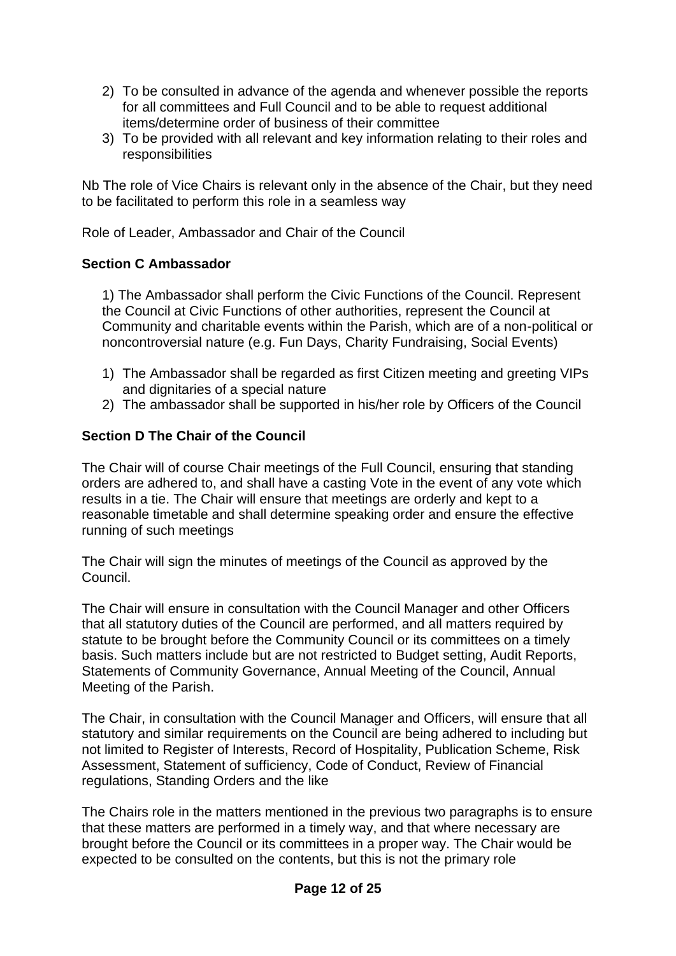- 2) To be consulted in advance of the agenda and whenever possible the reports for all committees and Full Council and to be able to request additional items/determine order of business of their committee
- 3) To be provided with all relevant and key information relating to their roles and responsibilities

Nb The role of Vice Chairs is relevant only in the absence of the Chair, but they need to be facilitated to perform this role in a seamless way

Role of Leader, Ambassador and Chair of the Council

#### **Section C Ambassador**

1) The Ambassador shall perform the Civic Functions of the Council. Represent the Council at Civic Functions of other authorities, represent the Council at Community and charitable events within the Parish, which are of a non-political or noncontroversial nature (e.g. Fun Days, Charity Fundraising, Social Events)

- 1) The Ambassador shall be regarded as first Citizen meeting and greeting VIPs and dignitaries of a special nature
- 2) The ambassador shall be supported in his/her role by Officers of the Council

### **Section D The Chair of the Council**

The Chair will of course Chair meetings of the Full Council, ensuring that standing orders are adhered to, and shall have a casting Vote in the event of any vote which results in a tie. The Chair will ensure that meetings are orderly and kept to a reasonable timetable and shall determine speaking order and ensure the effective running of such meetings

The Chair will sign the minutes of meetings of the Council as approved by the Council.

The Chair will ensure in consultation with the Council Manager and other Officers that all statutory duties of the Council are performed, and all matters required by statute to be brought before the Community Council or its committees on a timely basis. Such matters include but are not restricted to Budget setting, Audit Reports, Statements of Community Governance, Annual Meeting of the Council, Annual Meeting of the Parish.

The Chair, in consultation with the Council Manager and Officers, will ensure that all statutory and similar requirements on the Council are being adhered to including but not limited to Register of Interests, Record of Hospitality, Publication Scheme, Risk Assessment, Statement of sufficiency, Code of Conduct, Review of Financial regulations, Standing Orders and the like

The Chairs role in the matters mentioned in the previous two paragraphs is to ensure that these matters are performed in a timely way, and that where necessary are brought before the Council or its committees in a proper way. The Chair would be expected to be consulted on the contents, but this is not the primary role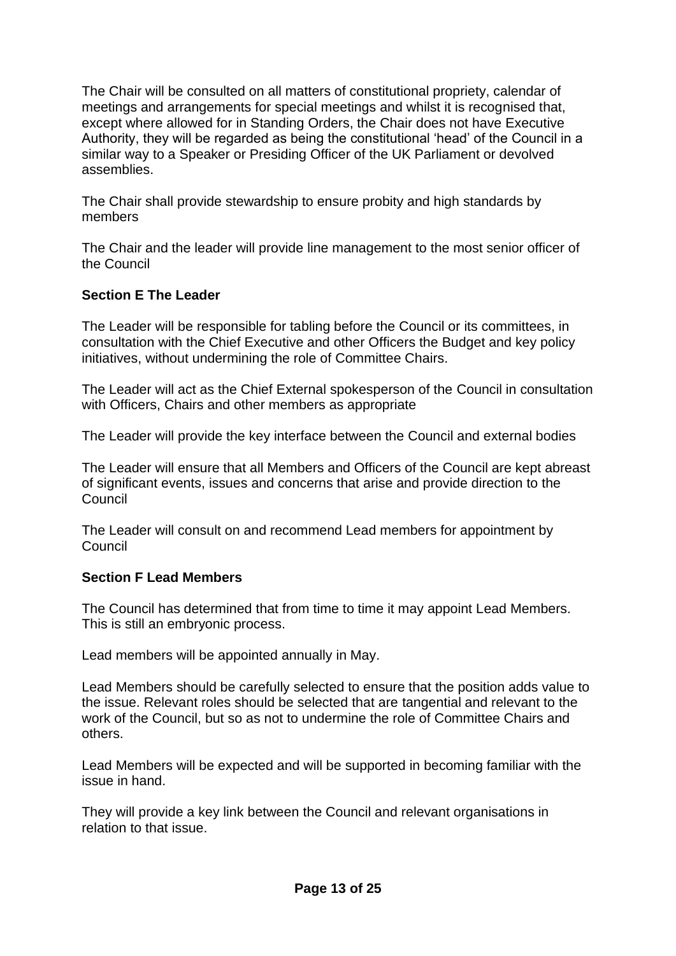The Chair will be consulted on all matters of constitutional propriety, calendar of meetings and arrangements for special meetings and whilst it is recognised that, except where allowed for in Standing Orders, the Chair does not have Executive Authority, they will be regarded as being the constitutional 'head' of the Council in a similar way to a Speaker or Presiding Officer of the UK Parliament or devolved assemblies.

The Chair shall provide stewardship to ensure probity and high standards by members

The Chair and the leader will provide line management to the most senior officer of the Council

### **Section E The Leader**

The Leader will be responsible for tabling before the Council or its committees, in consultation with the Chief Executive and other Officers the Budget and key policy initiatives, without undermining the role of Committee Chairs.

The Leader will act as the Chief External spokesperson of the Council in consultation with Officers, Chairs and other members as appropriate

The Leader will provide the key interface between the Council and external bodies

The Leader will ensure that all Members and Officers of the Council are kept abreast of significant events, issues and concerns that arise and provide direction to the Council

The Leader will consult on and recommend Lead members for appointment by Council

### **Section F Lead Members**

The Council has determined that from time to time it may appoint Lead Members. This is still an embryonic process.

Lead members will be appointed annually in May.

Lead Members should be carefully selected to ensure that the position adds value to the issue. Relevant roles should be selected that are tangential and relevant to the work of the Council, but so as not to undermine the role of Committee Chairs and others.

Lead Members will be expected and will be supported in becoming familiar with the issue in hand.

They will provide a key link between the Council and relevant organisations in relation to that issue.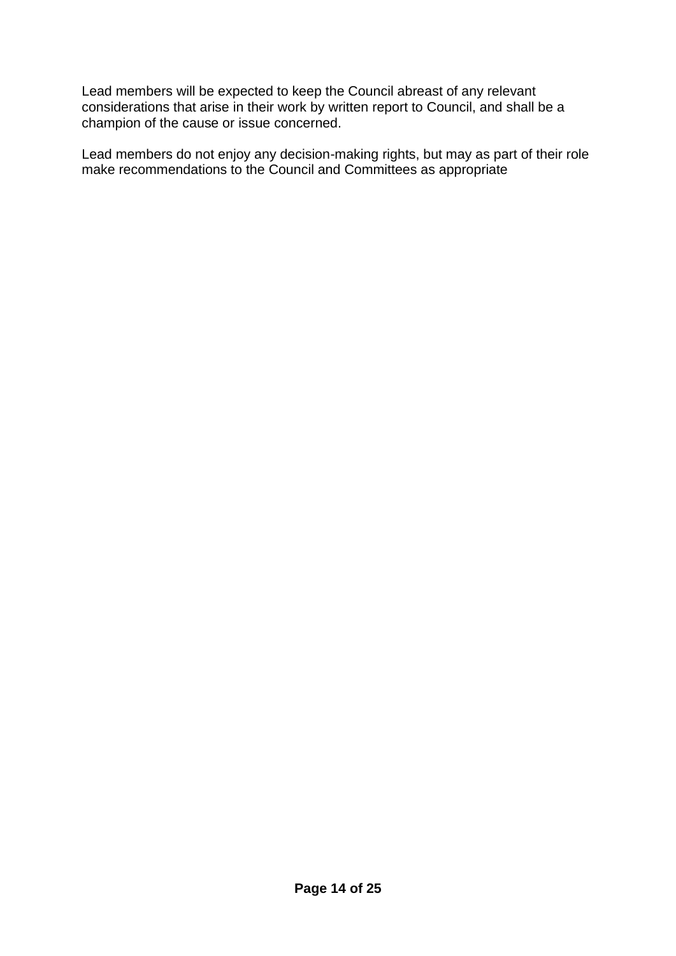Lead members will be expected to keep the Council abreast of any relevant considerations that arise in their work by written report to Council, and shall be a champion of the cause or issue concerned.

Lead members do not enjoy any decision-making rights, but may as part of their role make recommendations to the Council and Committees as appropriate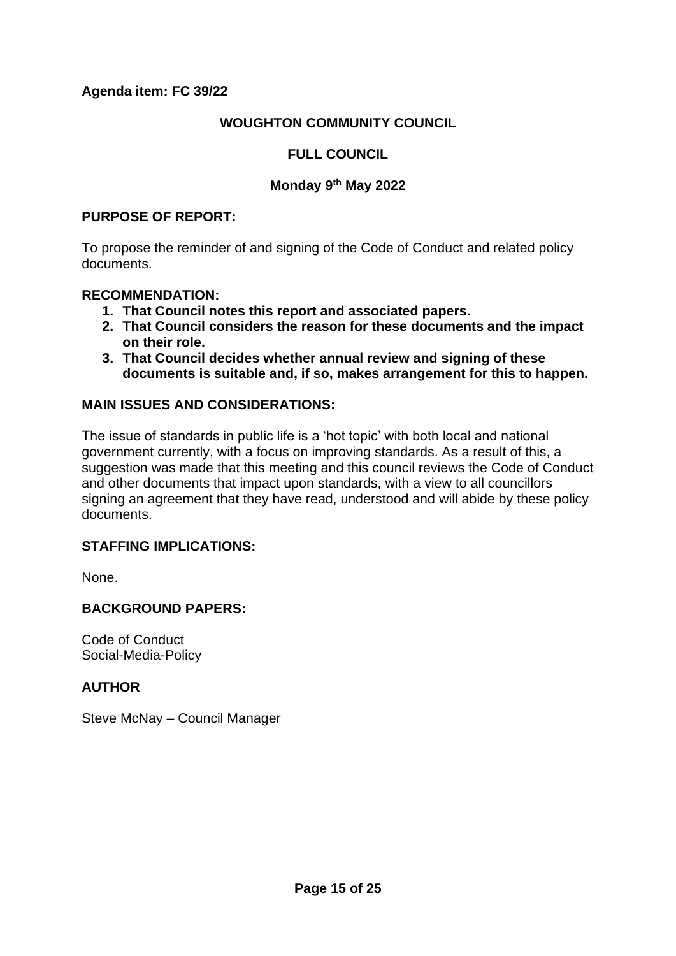## **WOUGHTON COMMUNITY COUNCIL**

## **FULL COUNCIL**

#### **Monday 9th May 2022**

#### **PURPOSE OF REPORT:**

To propose the reminder of and signing of the Code of Conduct and related policy documents.

#### **RECOMMENDATION:**

- **1. That Council notes this report and associated papers.**
- **2. That Council considers the reason for these documents and the impact on their role.**
- **3. That Council decides whether annual review and signing of these documents is suitable and, if so, makes arrangement for this to happen.**

#### **MAIN ISSUES AND CONSIDERATIONS:**

The issue of standards in public life is a 'hot topic' with both local and national government currently, with a focus on improving standards. As a result of this, a suggestion was made that this meeting and this council reviews the Code of Conduct and other documents that impact upon standards, with a view to all councillors signing an agreement that they have read, understood and will abide by these policy documents.

#### **STAFFING IMPLICATIONS:**

None.

#### **BACKGROUND PAPERS:**

Code of Conduct Social-Media-Policy

#### **AUTHOR**

Steve McNay – Council Manager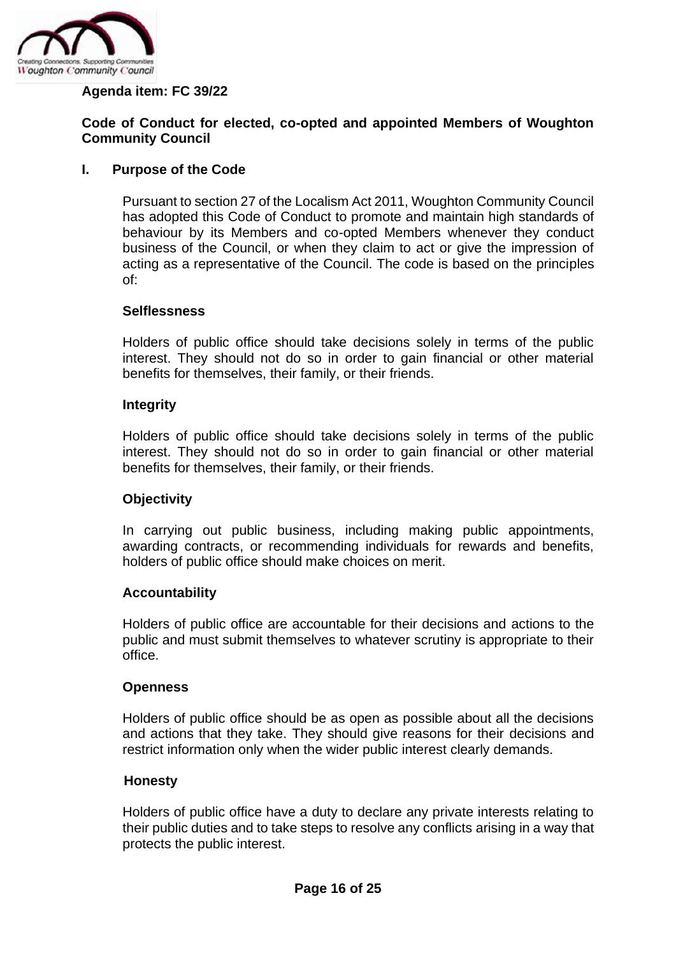

#### **Agenda item: FC 39/22**

#### **Code of Conduct for elected, co-opted and appointed Members of Woughton Community Council**

#### **I. Purpose of the Code**

Pursuant to section 27 of the Localism Act 2011, Woughton Community Council has adopted this Code of Conduct to promote and maintain high standards of behaviour by its Members and co-opted Members whenever they conduct business of the Council, or when they claim to act or give the impression of acting as a representative of the Council. The code is based on the principles of:

#### **Selflessness**

Holders of public office should take decisions solely in terms of the public interest. They should not do so in order to gain financial or other material benefits for themselves, their family, or their friends.

#### **Integrity**

Holders of public office should take decisions solely in terms of the public interest. They should not do so in order to gain financial or other material benefits for themselves, their family, or their friends.

#### **Objectivity**

In carrying out public business, including making public appointments, awarding contracts, or recommending individuals for rewards and benefits, holders of public office should make choices on merit.

#### **Accountability**

Holders of public office are accountable for their decisions and actions to the public and must submit themselves to whatever scrutiny is appropriate to their office.

#### **Openness**

Holders of public office should be as open as possible about all the decisions and actions that they take. They should give reasons for their decisions and restrict information only when the wider public interest clearly demands.

#### **Honesty**

Holders of public office have a duty to declare any private interests relating to their public duties and to take steps to resolve any conflicts arising in a way that protects the public interest.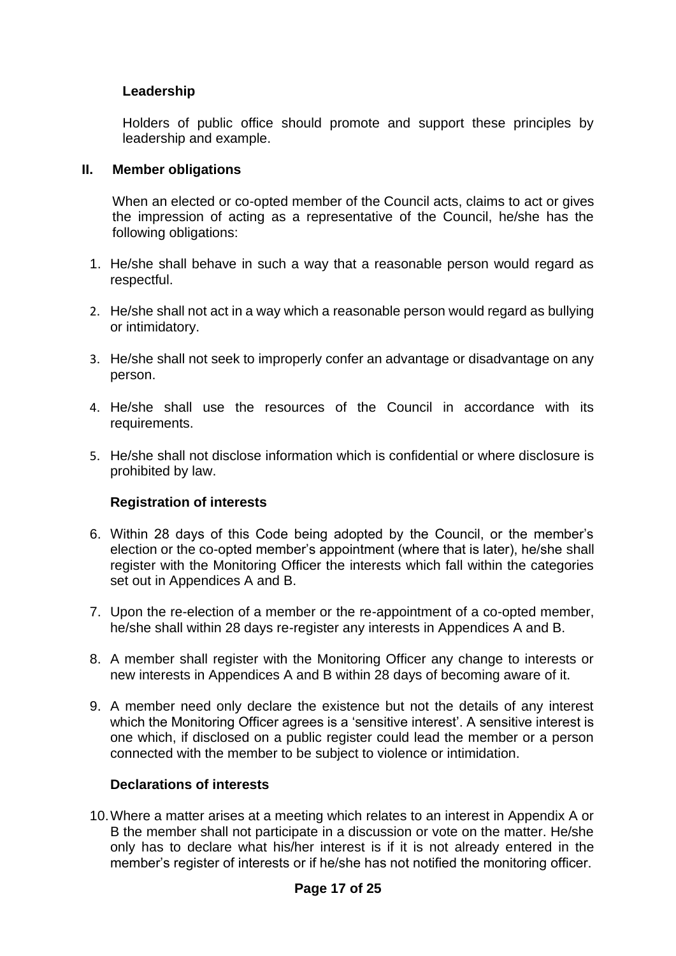#### **Leadership**

Holders of public office should promote and support these principles by leadership and example.

#### **II. Member obligations**

When an elected or co-opted member of the Council acts, claims to act or gives the impression of acting as a representative of the Council, he/she has the following obligations:

- 1. He/she shall behave in such a way that a reasonable person would regard as respectful.
- 2. He/she shall not act in a way which a reasonable person would regard as bullying or intimidatory.
- 3. He/she shall not seek to improperly confer an advantage or disadvantage on any person.
- 4. He/she shall use the resources of the Council in accordance with its requirements.
- 5. He/she shall not disclose information which is confidential or where disclosure is prohibited by law.

#### **Registration of interests**

- 6. Within 28 days of this Code being adopted by the Council, or the member's election or the co-opted member's appointment (where that is later), he/she shall register with the Monitoring Officer the interests which fall within the categories set out in Appendices A and B.
- 7. Upon the re-election of a member or the re-appointment of a co-opted member, he/she shall within 28 days re-register any interests in Appendices A and B.
- 8. A member shall register with the Monitoring Officer any change to interests or new interests in Appendices A and B within 28 days of becoming aware of it.
- 9. A member need only declare the existence but not the details of any interest which the Monitoring Officer agrees is a 'sensitive interest'. A sensitive interest is one which, if disclosed on a public register could lead the member or a person connected with the member to be subject to violence or intimidation.

#### **Declarations of interests**

10.Where a matter arises at a meeting which relates to an interest in Appendix A or B the member shall not participate in a discussion or vote on the matter. He/she only has to declare what his/her interest is if it is not already entered in the member's register of interests or if he/she has not notified the monitoring officer.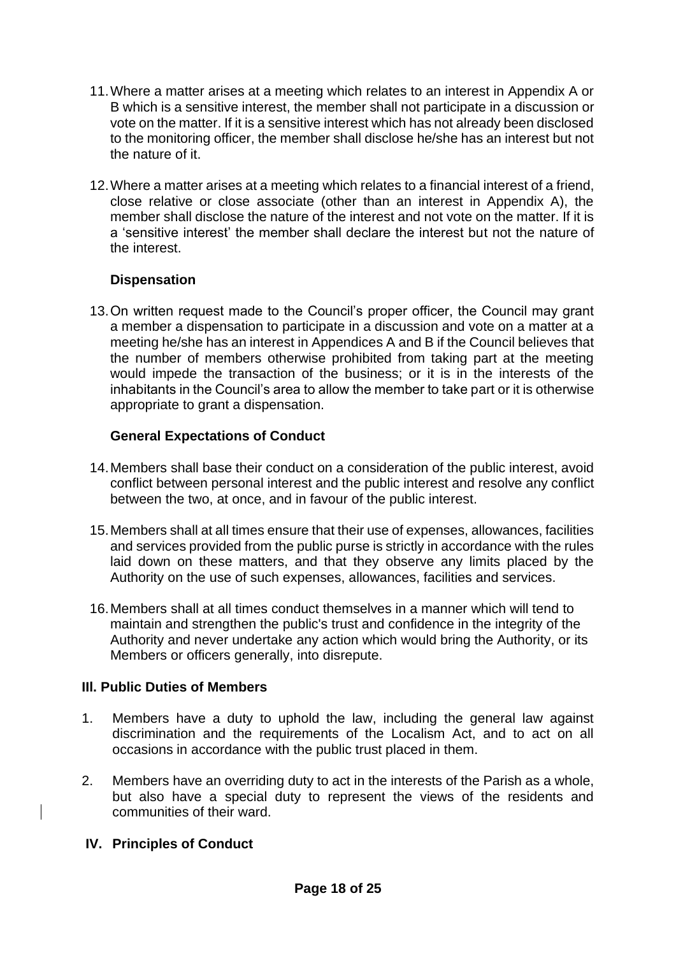- 11.Where a matter arises at a meeting which relates to an interest in Appendix A or B which is a sensitive interest, the member shall not participate in a discussion or vote on the matter. If it is a sensitive interest which has not already been disclosed to the monitoring officer, the member shall disclose he/she has an interest but not the nature of it.
- 12.Where a matter arises at a meeting which relates to a financial interest of a friend, close relative or close associate (other than an interest in Appendix A), the member shall disclose the nature of the interest and not vote on the matter. If it is a 'sensitive interest' the member shall declare the interest but not the nature of the interest.

### **Dispensation**

13.On written request made to the Council's proper officer, the Council may grant a member a dispensation to participate in a discussion and vote on a matter at a meeting he/she has an interest in Appendices A and B if the Council believes that the number of members otherwise prohibited from taking part at the meeting would impede the transaction of the business; or it is in the interests of the inhabitants in the Council's area to allow the member to take part or it is otherwise appropriate to grant a dispensation.

## **General Expectations of Conduct**

- 14.Members shall base their conduct on a consideration of the public interest, avoid conflict between personal interest and the public interest and resolve any conflict between the two, at once, and in favour of the public interest.
- 15.Members shall at all times ensure that their use of expenses, allowances, facilities and services provided from the public purse is strictly in accordance with the rules laid down on these matters, and that they observe any limits placed by the Authority on the use of such expenses, allowances, facilities and services.
- 16.Members shall at all times conduct themselves in a manner which will tend to maintain and strengthen the public's trust and confidence in the integrity of the Authority and never undertake any action which would bring the Authority, or its Members or officers generally, into disrepute.

### **IIl. Public Duties of Members**

- 1. Members have a duty to uphold the law, including the general law against discrimination and the requirements of the Localism Act, and to act on all occasions in accordance with the public trust placed in them.
- 2. Members have an overriding duty to act in the interests of the Parish as a whole, but also have a special duty to represent the views of the residents and communities of their ward.

# **IV. Principles of Conduct**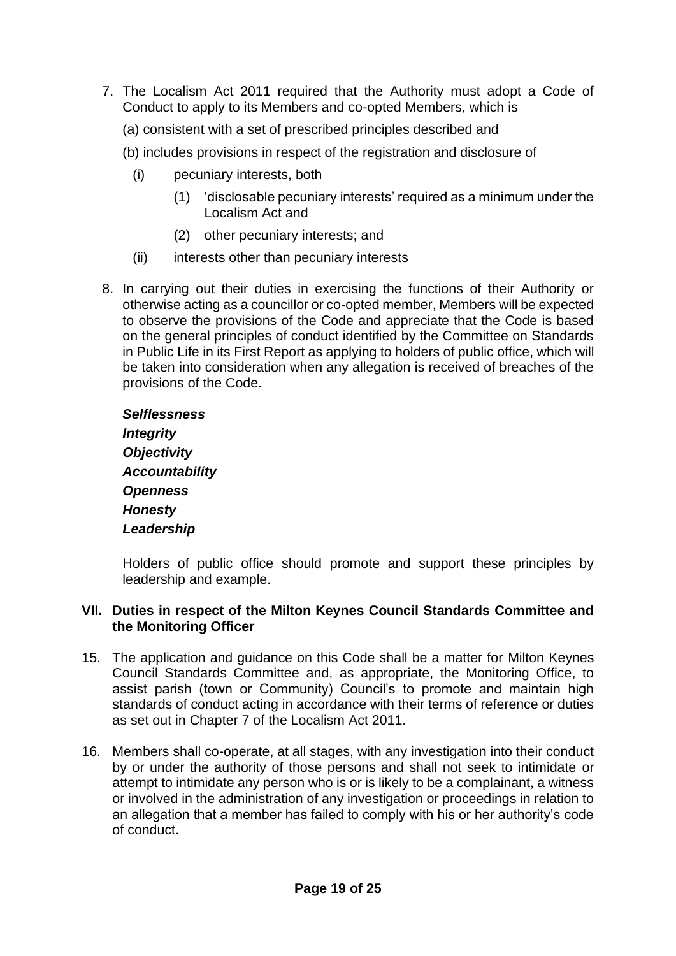- 7. The Localism Act 2011 required that the Authority must adopt a Code of Conduct to apply to its Members and co-opted Members, which is
	- (a) consistent with a set of prescribed principles described and
	- (b) includes provisions in respect of the registration and disclosure of
		- (i) pecuniary interests, both
			- (1) 'disclosable pecuniary interests' required as a minimum under the Localism Act and
			- (2) other pecuniary interests; and
		- (ii) interests other than pecuniary interests
- 8. In carrying out their duties in exercising the functions of their Authority or otherwise acting as a councillor or co-opted member, Members will be expected to observe the provisions of the Code and appreciate that the Code is based on the general principles of conduct identified by the Committee on Standards in Public Life in its First Report as applying to holders of public office, which will be taken into consideration when any allegation is received of breaches of the provisions of the Code.

*Selflessness Integrity Objectivity Accountability Openness Honesty Leadership*

Holders of public office should promote and support these principles by leadership and example.

#### **VII. Duties in respect of the Milton Keynes Council Standards Committee and the Monitoring Officer**

- 15. The application and guidance on this Code shall be a matter for Milton Keynes Council Standards Committee and, as appropriate, the Monitoring Office, to assist parish (town or Community) Council's to promote and maintain high standards of conduct acting in accordance with their terms of reference or duties as set out in Chapter 7 of the Localism Act 2011.
- 16. Members shall co-operate, at all stages, with any investigation into their conduct by or under the authority of those persons and shall not seek to intimidate or attempt to intimidate any person who is or is likely to be a complainant, a witness or involved in the administration of any investigation or proceedings in relation to an allegation that a member has failed to comply with his or her authority's code of conduct.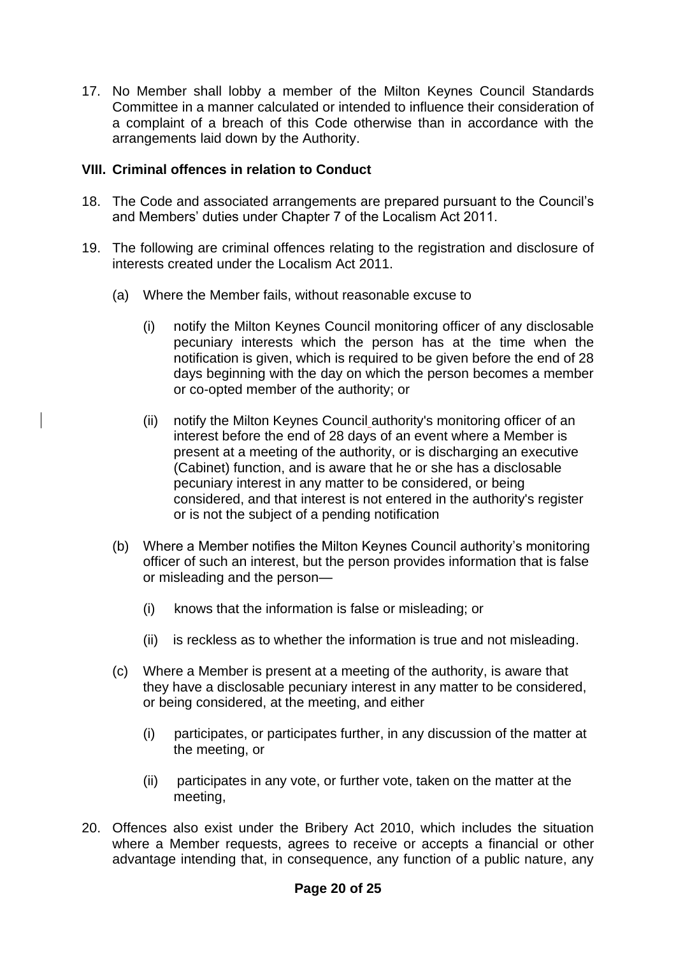17. No Member shall lobby a member of the Milton Keynes Council Standards Committee in a manner calculated or intended to influence their consideration of a complaint of a breach of this Code otherwise than in accordance with the arrangements laid down by the Authority.

#### **VIII. Criminal offences in relation to Conduct**

- 18. The Code and associated arrangements are prepared pursuant to the Council's and Members' duties under Chapter 7 of the Localism Act 2011.
- 19. The following are criminal offences relating to the registration and disclosure of interests created under the Localism Act 2011.
	- (a) Where the Member fails, without reasonable excuse to
		- (i) notify the Milton Keynes Council monitoring officer of any disclosable pecuniary interests which the person has at the time when the notification is given, which is required to be given before the end of 28 days beginning with the day on which the person becomes a member or co-opted member of the authority; or
		- (ii) notify the Milton Keynes Council authority's monitoring officer of an interest before the end of 28 days of an event where a Member is present at a meeting of the authority, or is discharging an executive (Cabinet) function, and is aware that he or she has a disclosable pecuniary interest in any matter to be considered, or being considered, and that interest is not entered in the authority's register or is not the subject of a pending notification
	- (b) Where a Member notifies the Milton Keynes Council authority's monitoring officer of such an interest, but the person provides information that is false or misleading and the person—
		- (i) knows that the information is false or misleading; or
		- (ii) is reckless as to whether the information is true and not misleading.
	- (c) Where a Member is present at a meeting of the authority, is aware that they have a disclosable pecuniary interest in any matter to be considered, or being considered, at the meeting, and either
		- (i) participates, or participates further, in any discussion of the matter at the meeting, or
		- (ii) participates in any vote, or further vote, taken on the matter at the meeting,
- 20. Offences also exist under the Bribery Act 2010, which includes the situation where a Member requests, agrees to receive or accepts a financial or other advantage intending that, in consequence, any function of a public nature, any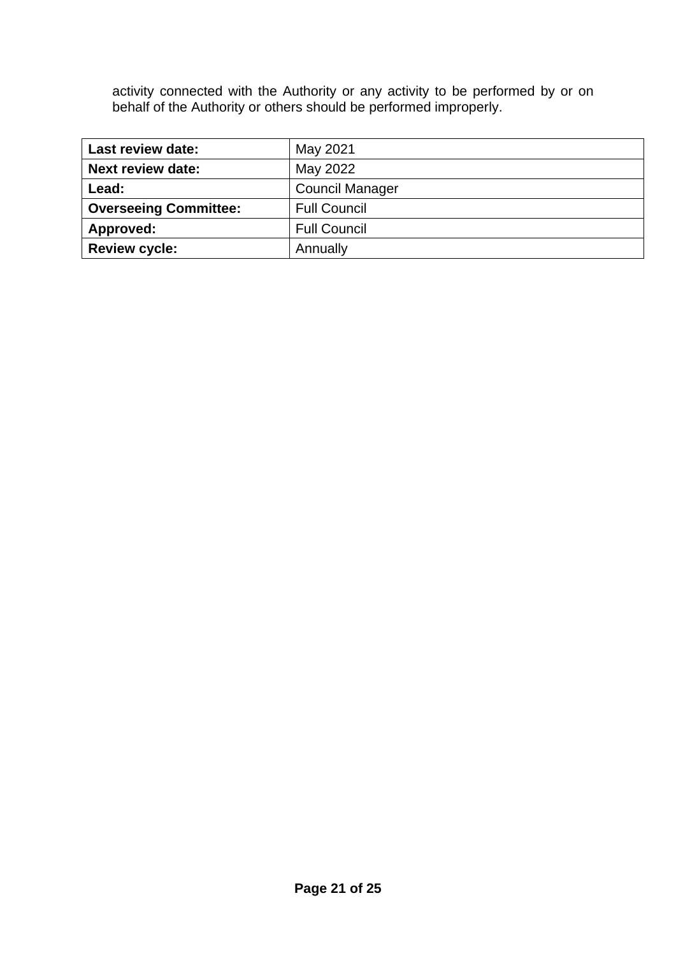activity connected with the Authority or any activity to be performed by or on behalf of the Authority or others should be performed improperly.

| <b>Last review date:</b>     | May 2021               |
|------------------------------|------------------------|
| <b>Next review date:</b>     | May 2022               |
| Lead:                        | <b>Council Manager</b> |
| <b>Overseeing Committee:</b> | <b>Full Council</b>    |
| Approved:                    | <b>Full Council</b>    |
| <b>Review cycle:</b>         | Annually               |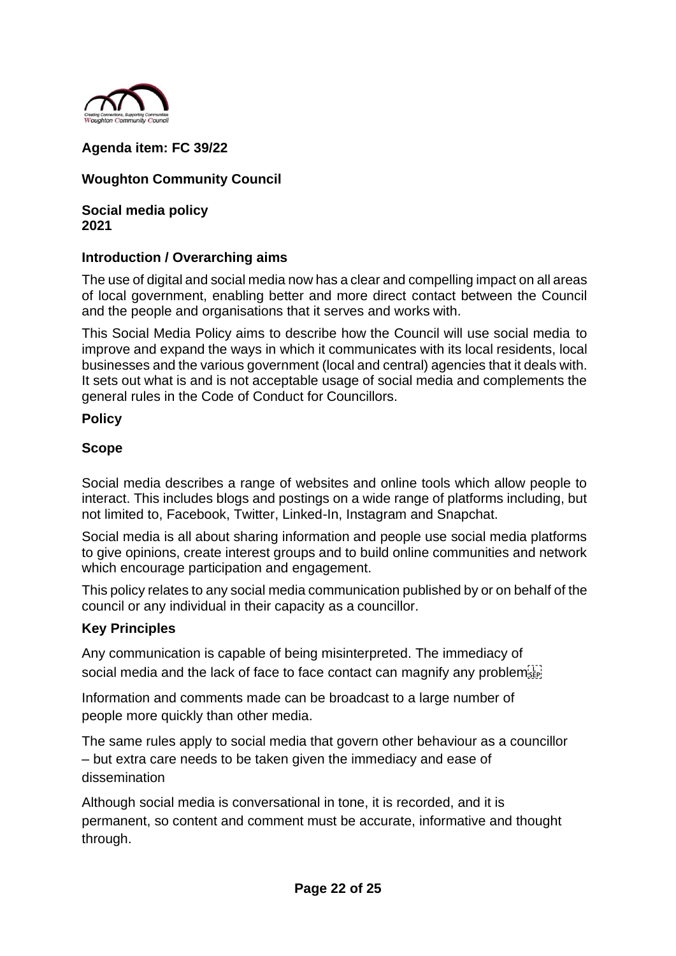

## **Agenda item: FC 39/22**

## **Woughton Community Council**

**Social media policy 2021**

#### **Introduction / Overarching aims**

The use of digital and social media now has a clear and compelling impact on all areas of local government, enabling better and more direct contact between the Council and the people and organisations that it serves and works with.

This Social Media Policy aims to describe how the Council will use social media to improve and expand the ways in which it communicates with its local residents, local businesses and the various government (local and central) agencies that it deals with. It sets out what is and is not acceptable usage of social media and complements the general rules in the Code of Conduct for Councillors.

#### **Policy**

### **Scope**

Social media describes a range of websites and online tools which allow people to interact. This includes blogs and postings on a wide range of platforms including, but not limited to, Facebook, Twitter, Linked-In, Instagram and Snapchat.

Social media is all about sharing information and people use social media platforms to give opinions, create interest groups and to build online communities and network which encourage participation and engagement.

This policy relates to any social media communication published by or on behalf of the council or any individual in their capacity as a councillor.

### **Key Principles**

Any communication is capable of being misinterpreted. The immediacy of social media and the lack of face to face contact can magnify any problem

Information and comments made can be broadcast to a large number of people more quickly than other media.

The same rules apply to social media that govern other behaviour as a councillor – but extra care needs to be taken given the immediacy and ease of dissemination

Although social media is conversational in tone, it is recorded, and it is permanent, so content and comment must be accurate, informative and thought through.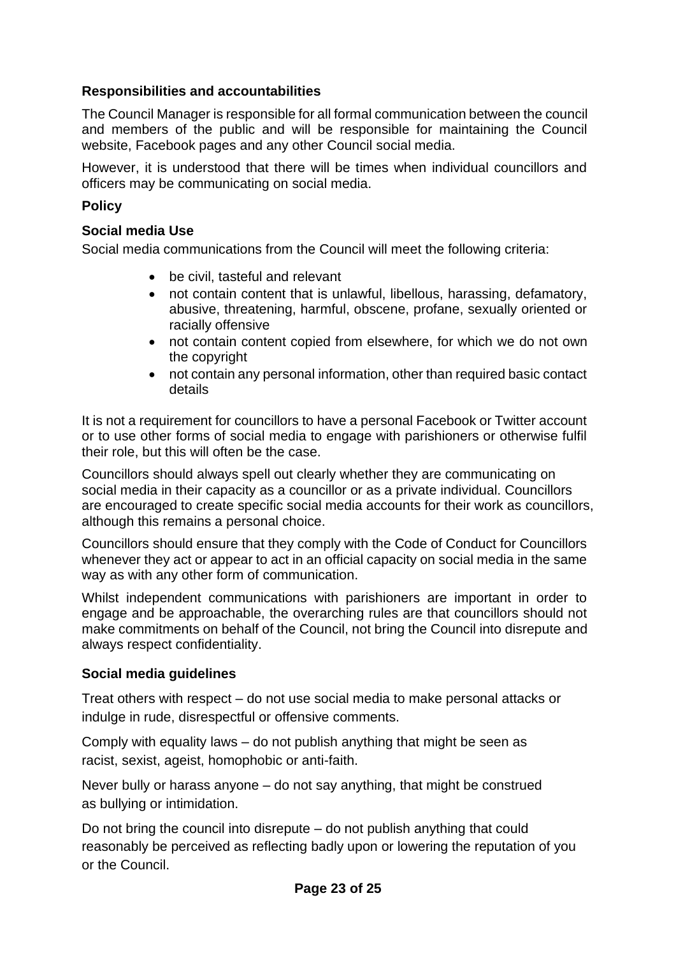## **Responsibilities and accountabilities**

The Council Manager is responsible for all formal communication between the council and members of the public and will be responsible for maintaining the Council website, Facebook pages and any other Council social media.

However, it is understood that there will be times when individual councillors and officers may be communicating on social media.

## **Policy**

## **Social media Use**

Social media communications from the Council will meet the following criteria:

- be civil, tasteful and relevant
- not contain content that is unlawful, libellous, harassing, defamatory, abusive, threatening, harmful, obscene, profane, sexually oriented or racially offensive
- not contain content copied from elsewhere, for which we do not own the copyright
- not contain any personal information, other than required basic contact details

It is not a requirement for councillors to have a personal Facebook or Twitter account or to use other forms of social media to engage with parishioners or otherwise fulfil their role, but this will often be the case.

Councillors should always spell out clearly whether they are communicating on social media in their capacity as a councillor or as a private individual. Councillors are encouraged to create specific social media accounts for their work as councillors, although this remains a personal choice.

Councillors should ensure that they comply with the Code of Conduct for Councillors whenever they act or appear to act in an official capacity on social media in the same way as with any other form of communication.

Whilst independent communications with parishioners are important in order to engage and be approachable, the overarching rules are that councillors should not make commitments on behalf of the Council, not bring the Council into disrepute and always respect confidentiality.

### **Social media guidelines**

Treat others with respect – do not use social media to make personal attacks or indulge in rude, disrespectful or offensive comments.

Comply with equality laws – do not publish anything that might be seen as racist, sexist, ageist, homophobic or anti-faith.

Never bully or harass anyone – do not say anything, that might be construed as bullying or intimidation.

Do not bring the council into disrepute – do not publish anything that could reasonably be perceived as reflecting badly upon or lowering the reputation of you or the Council.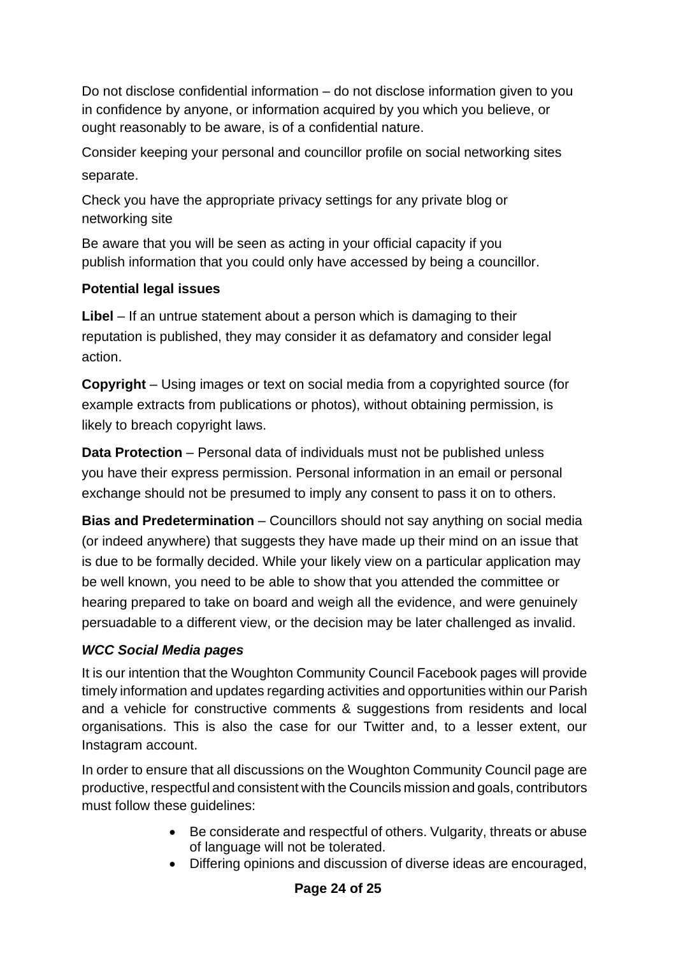Do not disclose confidential information – do not disclose information given to you in confidence by anyone, or information acquired by you which you believe, or ought reasonably to be aware, is of a confidential nature.

Consider keeping your personal and councillor profile on social networking sites separate.

Check you have the appropriate privacy settings for any private blog or networking site

Be aware that you will be seen as acting in your official capacity if you publish information that you could only have accessed by being a councillor.

# **Potential legal issues**

Libel – If an untrue statement about a person which is damaging to their reputation is published, they may consider it as defamatory and consider legal action.

**Copyright** – Using images or text on social media from a copyrighted source (for example extracts from publications or photos), without obtaining permission, is likely to breach copyright laws.

**Data Protection** – Personal data of individuals must not be published unless you have their express permission. Personal information in an email or personal exchange should not be presumed to imply any consent to pass it on to others.

**Bias and Predetermination** – Councillors should not say anything on social media (or indeed anywhere) that suggests they have made up their mind on an issue that is due to be formally decided. While your likely view on a particular application may be well known, you need to be able to show that you attended the committee or hearing prepared to take on board and weigh all the evidence, and were genuinely persuadable to a different view, or the decision may be later challenged as invalid.

# *WCC Social Media pages*

It is our intention that the Woughton Community Council Facebook pages will provide timely information and updates regarding activities and opportunities within our Parish and a vehicle for constructive comments & suggestions from residents and local organisations. This is also the case for our Twitter and, to a lesser extent, our Instagram account.

In order to ensure that all discussions on the Woughton Community Council page are productive, respectful and consistent with the Councils mission and goals, contributors must follow these guidelines:

- Be considerate and respectful of others. Vulgarity, threats or abuse of language will not be tolerated.
- Differing opinions and discussion of diverse ideas are encouraged,